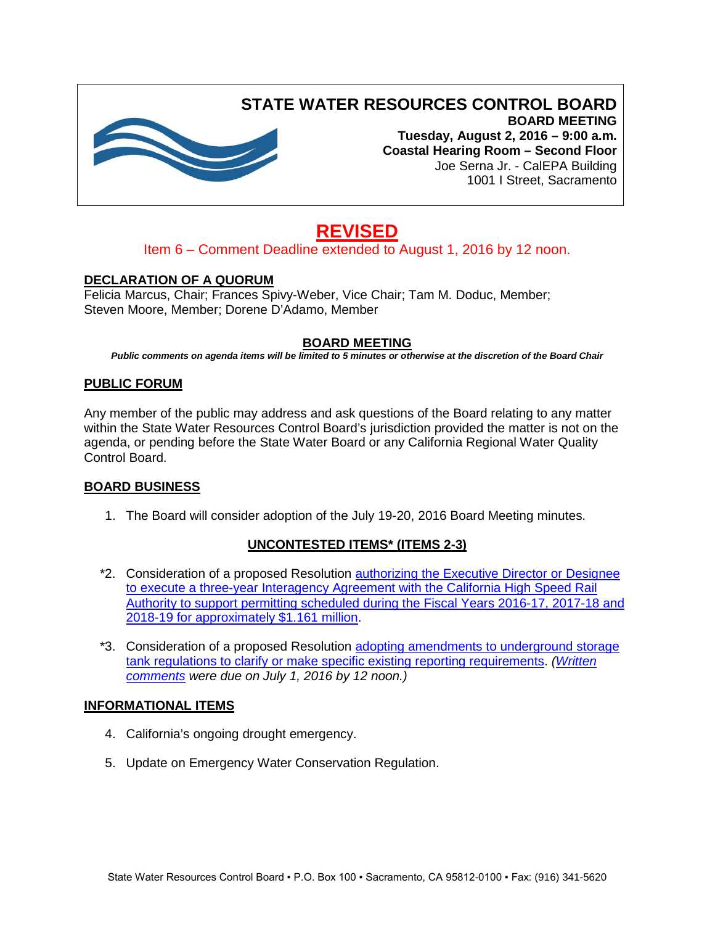

# **STATE WATER RESOURCES CONTROL BOARD**

**BOARD MEETING Tuesday, August 2, 2016 – 9:00 a.m. Coastal Hearing Room – Second Floor** Joe Serna Jr. - CalEPA Building 1001 I Street, Sacramento

# **REVISED**

# Item 6 – Comment Deadline extended to August 1, 2016 by 12 noon.

# **DECLARATION OF A QUORUM**

Felicia Marcus, Chair; Frances Spivy-Weber, Vice Chair; Tam M. Doduc, Member; Steven Moore, Member; Dorene D'Adamo, Member

# **BOARD MEETING**

*Public comments on agenda items will be limited to 5 minutes or otherwise at the discretion of the Board Chair*

## **PUBLIC FORUM**

Any member of the public may address and ask questions of the Board relating to any matter within the State Water Resources Control Board's jurisdiction provided the matter is not on the agenda, or pending before the State Water Board or any California Regional Water Quality Control Board.

## **BOARD BUSINESS**

1. The Board will consider adoption of the July 19-20, 2016 Board Meeting minutes.

# **UNCONTESTED ITEMS\* (ITEMS 2-3)**

- \*2. Consideration of a proposed Resolution [authorizing the Executive Director or Designee](http://www.waterboards.ca.gov/board_info/agendas/2016/aug/080216_2.pdf)  [to execute a three-year Interagency Agreement with the California High Speed Rail](http://www.waterboards.ca.gov/board_info/agendas/2016/aug/080216_2.pdf)  [Authority to support permitting scheduled during the Fiscal Years 2016-17, 2017-18 and](http://www.waterboards.ca.gov/board_info/agendas/2016/aug/080216_2.pdf)  [2018-19 for approximately \\$1.161 million.](http://www.waterboards.ca.gov/board_info/agendas/2016/aug/080216_2.pdf)
- \*3. Consideration of a proposed Resolution adopting amendments [to underground storage](http://www.waterboards.ca.gov/board_info/agendas/2016/aug/080216_3.pdf)  [tank regulations to clarify or make specific existing reporting requirements.](http://www.waterboards.ca.gov/board_info/agendas/2016/aug/080216_3.pdf) *[\(Written](http://www.waterboards.ca.gov/water_issues/programs/ust/adm_notices/elect_rpt_regs/docs/notice_proposed_ust_regs.pdf)  [comments](http://www.waterboards.ca.gov/water_issues/programs/ust/adm_notices/elect_rpt_regs/docs/notice_proposed_ust_regs.pdf) were due on July 1, 2016 by 12 noon.)*

## **INFORMATIONAL ITEMS**

- 4. California's ongoing drought emergency.
- 5. Update on Emergency Water Conservation Regulation.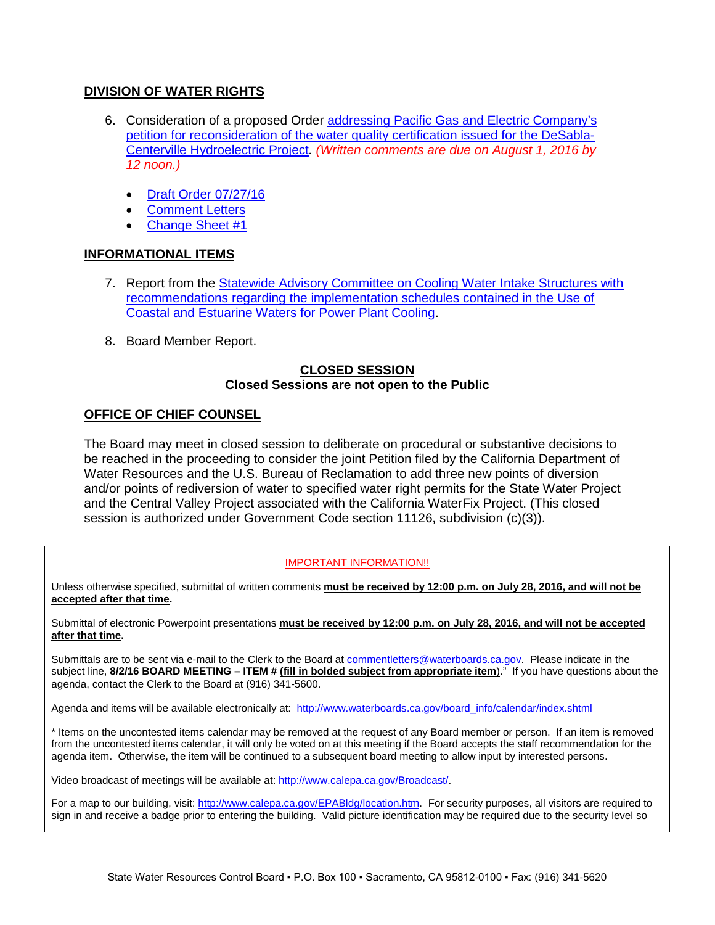## **DIVISION OF WATER RIGHTS**

- 6. Consideration of a proposed Order [addressing Pacific Gas and Electric Company's](http://www.waterboards.ca.gov/board_info/agendas/2016/aug/080216_6.pdf)  [petition for reconsideration of the water quality certification issued for the DeSabla-](http://www.waterboards.ca.gov/board_info/agendas/2016/aug/080216_6.pdf)[Centerville Hydroelectric Project](http://www.waterboards.ca.gov/board_info/agendas/2016/aug/080216_6.pdf)*. (Written comments are due on August 1, 2016 by 12 noon.)*
	- [Draft Order 07/27/16](http://www.waterboards.ca.gov/board_info/agendas/2016/aug/080216_6_draftorder_wqc.pdf)
	- **[Comment Letters](http://www.waterboards.ca.gov/board_info/agendas/2016/aug/080216_6_comments/)**
	- [Change Sheet #1](http://www.waterboards.ca.gov/board_info/agendas/2016/aug/080216_6_cs1.pdf)

# **INFORMATIONAL ITEMS**

- 7. Report from the Statewide Advisory Committee on Cooling Water Intake Structures with [recommendations regarding the implementation schedules contained in the Use of](http://www.waterboards.ca.gov/board_info/agendas/2016/aug/080216_7.pdf)  [Coastal and Estuarine Waters for Power Plant Cooling.](http://www.waterboards.ca.gov/board_info/agendas/2016/aug/080216_7.pdf)
- 8. Board Member Report.

#### **CLOSED SESSION Closed Sessions are not open to the Public**

# **OFFICE OF CHIEF COUNSEL**

The Board may meet in closed session to deliberate on procedural or substantive decisions to be reached in the proceeding to consider the joint Petition filed by the California Department of Water Resources and the U.S. Bureau of Reclamation to add three new points of diversion and/or points of rediversion of water to specified water right permits for the State Water Project and the Central Valley Project associated with the California WaterFix Project. (This closed session is authorized under Government Code section 11126, subdivision (c)(3)).

#### IMPORTANT INFORMATION!!

Unless otherwise specified, submittal of written comments **must be received by 12:00 p.m. on July 28, 2016, and will not be accepted after that time.**

Submittal of electronic Powerpoint presentations **must be received by 12:00 p.m. on July 28, 2016, and will not be accepted after that time.**

Submittals are to be sent via e-mail to the Clerk to the Board at [commentletters@waterboards.ca.gov.](mailto:commentletters@waterboards.ca.gov) Please indicate in the subject line, **8/2/16 BOARD MEETING – ITEM # (fill in bolded subject from appropriate item**)." If you have questions about the agenda, contact the Clerk to the Board at (916) 341-5600.

Agenda and items will be available electronically at: [http://www.waterboards.ca.gov/board\\_info/calendar/index.shtml](http://www.waterboards.ca.gov/board_info/calendar/index.shtml)

\* Items on the uncontested items calendar may be removed at the request of any Board member or person. If an item is removed from the uncontested items calendar, it will only be voted on at this meeting if the Board accepts the staff recommendation for the agenda item. Otherwise, the item will be continued to a subsequent board meeting to allow input by interested persons.

Video broadcast of meetings will be available at[: http://www.calepa.ca.gov/Broadcast/.](http://www.calepa.ca.gov/Broadcast/)

For a map to our building, visit[: http://www.calepa.ca.gov/EPABldg/location.htm.](http://www.calepa.ca.gov/EPABldg/location.htm) For security purposes, all visitors are required to sign in and receive a badge prior to entering the building. Valid picture identification may be required due to the security level so